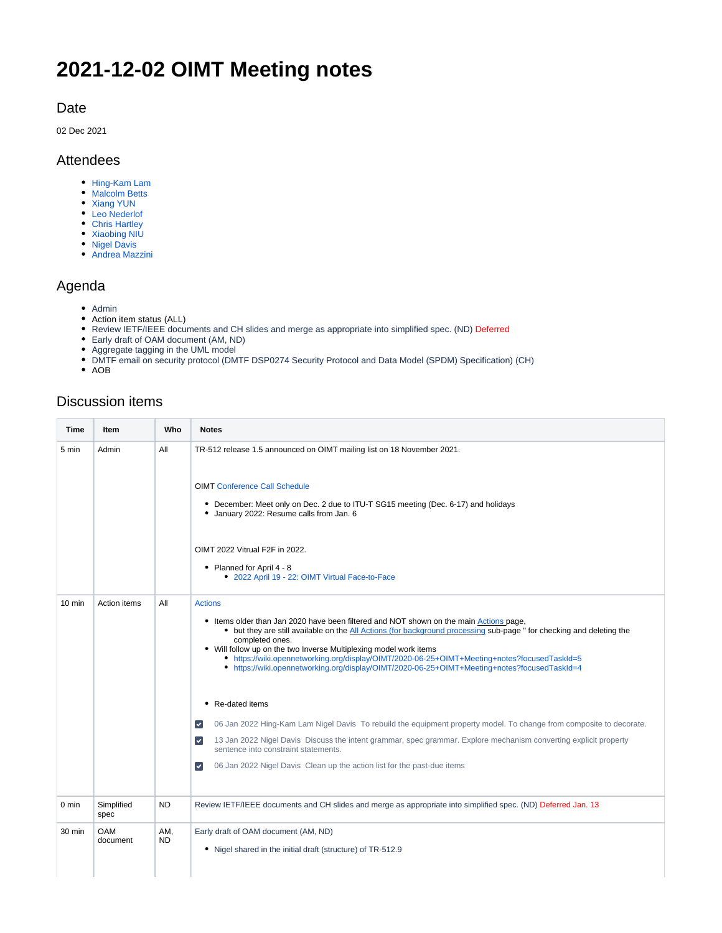# **2021-12-02 OIMT Meeting notes**

#### Date

02 Dec 2021

#### Attendees

- [Hing-Kam Lam](https://wiki.opennetworking.org/display/~hingkam.lam)
- [Malcolm Betts](https://wiki.opennetworking.org/display/~malcolm.betts)
- [Xiang YUN](https://wiki.opennetworking.org/display/~yunxiang)
- [Leo Nederlof](https://wiki.opennetworking.org/display/~leonederlof) • [Chris Hartley](https://wiki.opennetworking.org/display/~chrhartl@cisco.com)
- [Xiaobing NIU](https://wiki.opennetworking.org/display/~aflred)
- [Nigel Davis](https://wiki.opennetworking.org/display/~ndavis@ciena.com)
- [Andrea Mazzini](https://wiki.opennetworking.org/display/~mazzini64)

### Agenda

- $\bullet$  Admin
- Action item status (ALL)
- Review IETF/IEEE documents and CH slides and merge as appropriate into simplified spec. (ND) Deferred
- Early draft of OAM document (AM, ND)
- Aggregate tagging in the UML model
- DMTF email on security protocol (DMTF DSP0274 Security Protocol and Data Model (SPDM) Specification) (CH)
- $\bullet$  AOB

## Discussion items

| Time             | Item                   | Who        | <b>Notes</b>                                                                                                                                                                                                                                                                                                                                                                                                                                                                                                                                                                                                                                                                                                                                                                                                                               |
|------------------|------------------------|------------|--------------------------------------------------------------------------------------------------------------------------------------------------------------------------------------------------------------------------------------------------------------------------------------------------------------------------------------------------------------------------------------------------------------------------------------------------------------------------------------------------------------------------------------------------------------------------------------------------------------------------------------------------------------------------------------------------------------------------------------------------------------------------------------------------------------------------------------------|
| 5 min            | Admin                  | All        | TR-512 release 1.5 announced on OIMT mailing list on 18 November 2021.<br><b>OIMT Conference Call Schedule</b><br>• December: Meet only on Dec. 2 due to ITU-T SG15 meeting (Dec. 6-17) and holidays<br>• January 2022: Resume calls from Jan. 6<br>OIMT 2022 Vitrual F2F in 2022.<br>• Planned for April 4 - 8<br>• 2022 April 19 - 22: OIMT Virtual Face-to-Face                                                                                                                                                                                                                                                                                                                                                                                                                                                                         |
| $10 \text{ min}$ | Action items           | All        | <b>Actions</b><br>• Items older than Jan 2020 have been filtered and NOT shown on the main Actions page,<br>• but they are still available on the All Actions (for background processing sub-page " for checking and deleting the<br>completed ones.<br>• Will follow up on the two Inverse Multiplexing model work items<br>• https://wiki.opennetworking.org/display/OIMT/2020-06-25+OIMT+Meeting+notes?focusedTaskId=5<br>• https://wiki.opennetworking.org/display/OIMT/2020-06-25+OIMT+Meeting+notes?focusedTaskId=4<br>• Re-dated items<br>06 Jan 2022 Hing-Kam Lam Nigel Davis To rebuild the equipment property model. To change from composite to decorate.<br>$\blacktriangledown$<br>13 Jan 2022 Nigel Davis Discuss the intent grammar, spec grammar. Explore mechanism converting explicit property<br>$\vert\downarrow\vert$ |
|                  |                        |            | sentence into constraint statements.<br>$\vert\downarrow\vert$<br>06 Jan 2022 Nigel Davis Clean up the action list for the past-due items                                                                                                                                                                                                                                                                                                                                                                                                                                                                                                                                                                                                                                                                                                  |
| 0 min            | Simplified<br>spec     | <b>ND</b>  | Review IETF/IEEE documents and CH slides and merge as appropriate into simplified spec. (ND) Deferred Jan. 13                                                                                                                                                                                                                                                                                                                                                                                                                                                                                                                                                                                                                                                                                                                              |
| 30 min           | <b>OAM</b><br>document | AM,<br>ND. | Early draft of OAM document (AM, ND)<br>• Nigel shared in the initial draft (structure) of TR-512.9                                                                                                                                                                                                                                                                                                                                                                                                                                                                                                                                                                                                                                                                                                                                        |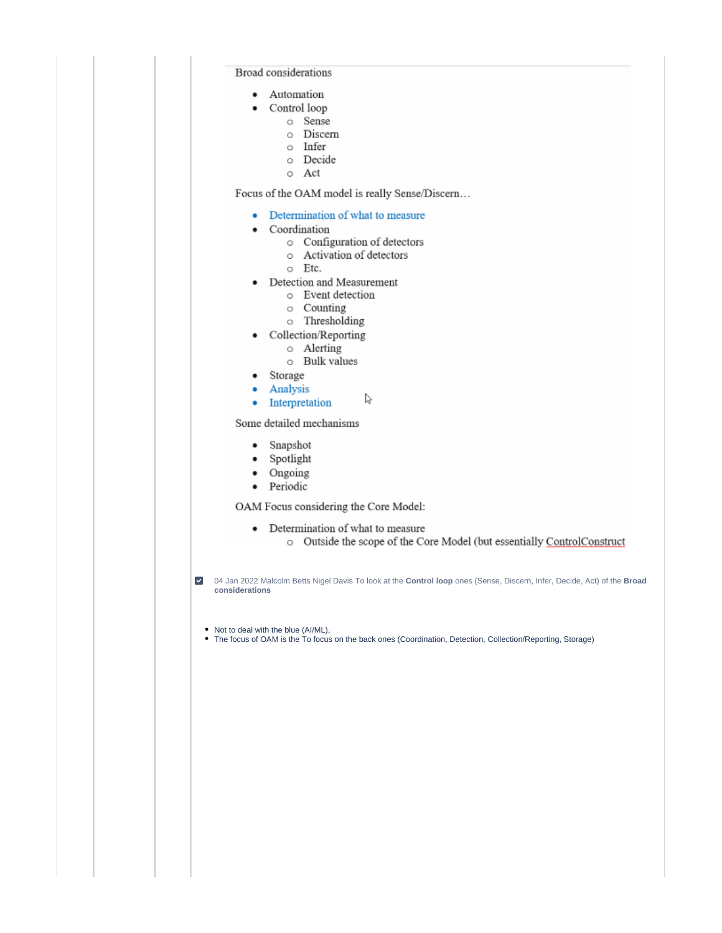**Broad** considerations

 $\bullet$ 

- Automation  $\bullet$ 
	- Control loop
		- o Sense
		- o Discern
		- o Infer
		- o Decide
		- o Act

Focus of the OAM model is really Sense/Discern...

- Determination of what to measure
- Coordination
	- o Configuration of detectors
	- o Activation of detectors
	- o Etc.
- Detection and Measurement
	- o Event detection
	- o Counting
	- o Thresholding
- Collection/Reporting
	- o Alerting
	- o Bulk values
- Storage
- Analysis ۰
- P • Interpretation

Some detailed mechanisms

- $\bullet$ Snapshot
- Spotlight ٠
- Ongoing ٠
- Periodic ٠

OAM Focus considering the Core Model:

• Determination of what to measure o Outside the scope of the Core Model (but essentially ControlConstruct

4 04 Jan 2022 Malcolm Betts Nigel Davis To look at the Control loop ones (Sense, Discern, Infer, Decide, Act) of the Broad considerations

• Not to deal with the blue (AI/ML),

• The focus of OAM is the To focus on the back ones (Coordination, Detection, Collection/Reporting, Storage)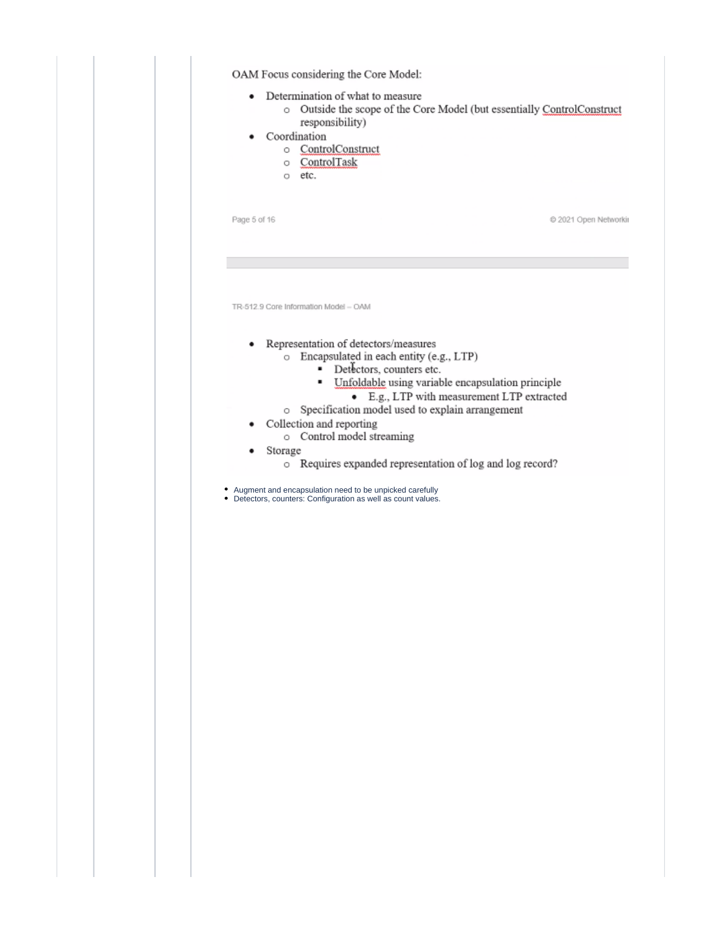| Page 5 of 16<br>2021 Open Networkir<br>TR-512.9 Core Information Model - OAM<br>Representation of detectors/measures<br>o Encapsulated in each entity (e.g., LTP)<br>Detectors, counters etc.<br>٠<br>Unfoldable using variable encapsulation principle<br>٠<br>• E.g., LTP with measurement LTP extracted<br>o Specification model used to explain arrangement<br>Collection and reporting<br>o Control model streaming<br>Storage<br>o Requires expanded representation of log and log record?<br>Augment and encapsulation need to be unpicked carefully<br>Detectors, counters: Configuration as well as count values. | ٠<br>٠ | Determination of what to measure<br>$\bullet$<br>responsibility)<br>Coordination<br>o ControlConstruct<br>o ControlTask<br>o etc. | o Outside the scope of the Core Model (but essentially ControlConstruct |
|----------------------------------------------------------------------------------------------------------------------------------------------------------------------------------------------------------------------------------------------------------------------------------------------------------------------------------------------------------------------------------------------------------------------------------------------------------------------------------------------------------------------------------------------------------------------------------------------------------------------------|--------|-----------------------------------------------------------------------------------------------------------------------------------|-------------------------------------------------------------------------|
|                                                                                                                                                                                                                                                                                                                                                                                                                                                                                                                                                                                                                            |        |                                                                                                                                   |                                                                         |
|                                                                                                                                                                                                                                                                                                                                                                                                                                                                                                                                                                                                                            |        |                                                                                                                                   |                                                                         |
|                                                                                                                                                                                                                                                                                                                                                                                                                                                                                                                                                                                                                            |        |                                                                                                                                   |                                                                         |
|                                                                                                                                                                                                                                                                                                                                                                                                                                                                                                                                                                                                                            |        |                                                                                                                                   |                                                                         |
|                                                                                                                                                                                                                                                                                                                                                                                                                                                                                                                                                                                                                            |        |                                                                                                                                   |                                                                         |
|                                                                                                                                                                                                                                                                                                                                                                                                                                                                                                                                                                                                                            |        |                                                                                                                                   |                                                                         |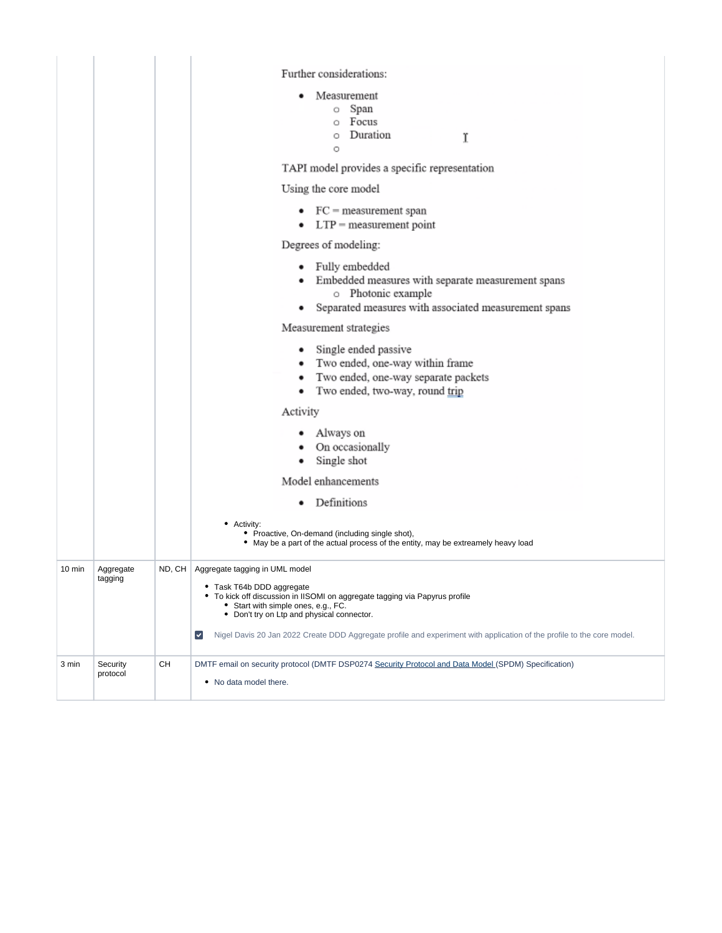|                  |                      |        | Further considerations:<br>Measurement<br>o Span<br>o Focus<br>Duration<br>O<br>Ϊ<br>O<br>TAPI model provides a specific representation<br>Using the core model<br>$\bullet$ FC = measurement span<br>$\bullet$ LTP = measurement point<br>Degrees of modeling:<br>• Fully embedded<br>Embedded measures with separate measurement spans<br>o Photonic example<br>Separated measures with associated measurement spans<br>٠<br>Measurement strategies<br>• Single ended passive<br>• Two ended, one-way within frame<br>Two ended, one-way separate packets<br>٠<br>Two ended, two-way, round trip<br>٠<br>Activity<br>• Always on<br>• On occasionally<br>Single shot<br>٠<br>Model enhancements<br>Definitions<br>٠<br>• Activity:<br>• Proactive, On-demand (including single shot),<br>• May be a part of the actual process of the entity, may be extreamely heavy load |  |
|------------------|----------------------|--------|------------------------------------------------------------------------------------------------------------------------------------------------------------------------------------------------------------------------------------------------------------------------------------------------------------------------------------------------------------------------------------------------------------------------------------------------------------------------------------------------------------------------------------------------------------------------------------------------------------------------------------------------------------------------------------------------------------------------------------------------------------------------------------------------------------------------------------------------------------------------------|--|
| $10 \text{ min}$ | Aggregate<br>tagging | ND, CH | Aggregate tagging in UML model<br>• Task T64b DDD aggregate<br>• To kick off discussion in IISOMI on aggregate tagging via Papyrus profile<br>• Start with simple ones, e.g., FC.<br>• Don't try on Ltp and physical connector.<br>Nigel Davis 20 Jan 2022 Create DDD Aggregate profile and experiment with application of the profile to the core model.<br>$\vert\mathbf{v}\vert$                                                                                                                                                                                                                                                                                                                                                                                                                                                                                          |  |
| 3 min            | Security<br>protocol | СH     | DMTF email on security protocol (DMTF DSP0274 Security Protocol and Data Model (SPDM) Specification)<br>• No data model there.                                                                                                                                                                                                                                                                                                                                                                                                                                                                                                                                                                                                                                                                                                                                               |  |